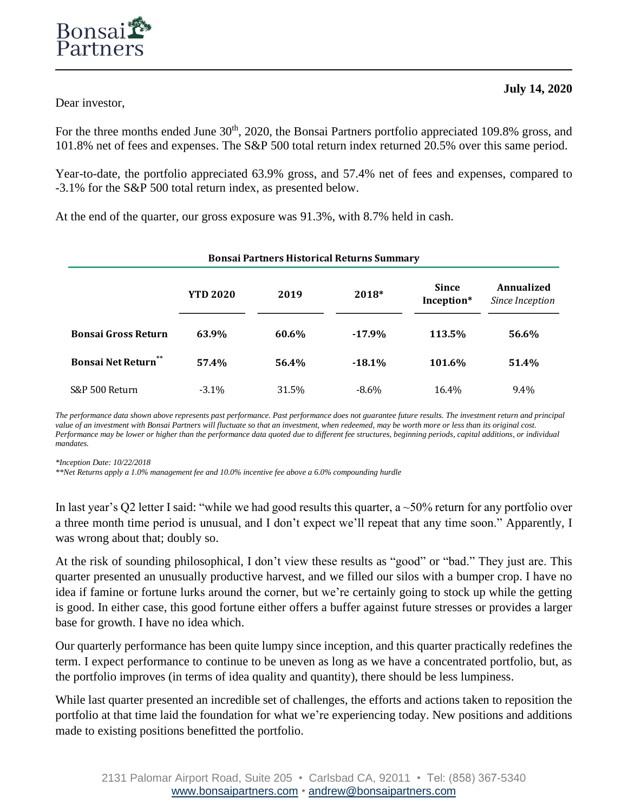Dear investor,

For the three months ended June 30<sup>th</sup>, 2020, the Bonsai Partners portfolio appreciated 109.8% gross, and 101.8% net of fees and expenses. The S&P 500 total return index returned 20.5% over this same period.

Year-to-date, the portfolio appreciated 63.9% gross, and 57.4% net of fees and expenses, compared to -3.1% for the S&P 500 total return index, as presented below.

At the end of the quarter, our gross exposure was 91.3%, with 8.7% held in cash.

| <b>Bonsai Partners Historical Returns Summary</b> |                 |       |           |                            |                               |  |
|---------------------------------------------------|-----------------|-------|-----------|----------------------------|-------------------------------|--|
|                                                   | <b>YTD 2020</b> | 2019  | 2018*     | <b>Since</b><br>Inception* | Annualized<br>Since Inception |  |
| <b>Bonsai Gross Return</b>                        | 63.9%           | 60.6% | $-17.9%$  | 113.5%                     | 56.6%                         |  |
| **<br><b>Bonsai Net Return</b>                    | 57.4%           | 56.4% | $-18.1\%$ | 101.6%                     | 51.4%                         |  |
| S&P 500 Return                                    | $-3.1\%$        | 31.5% | $-8.6\%$  | 16.4%                      | 9.4%                          |  |

*The performance data shown above represents past performance. Past performance does not guarantee future results. The investment return and principal value of an investment with Bonsai Partners will fluctuate so that an investment, when redeemed, may be worth more or less than its original cost. Performance may be lower or higher than the performance data quoted due to different fee structures, beginning periods, capital additions, or individual mandates.*

*\*Inception Date: 10/22/2018* 

*\*\*Net Returns apply a 1.0% management fee and 10.0% incentive fee above a 6.0% compounding hurdle*

In last year's Q2 letter I said: "while we had good results this quarter, a  $\sim$ 50% return for any portfolio over a three month time period is unusual, and I don't expect we'll repeat that any time soon." Apparently, I was wrong about that; doubly so.

At the risk of sounding philosophical, I don't view these results as "good" or "bad." They just are. This quarter presented an unusually productive harvest, and we filled our silos with a bumper crop. I have no idea if famine or fortune lurks around the corner, but we're certainly going to stock up while the getting is good. In either case, this good fortune either offers a buffer against future stresses or provides a larger base for growth. I have no idea which.

Our quarterly performance has been quite lumpy since inception, and this quarter practically redefines the term. I expect performance to continue to be uneven as long as we have a concentrated portfolio, but, as the portfolio improves (in terms of idea quality and quantity), there should be less lumpiness.

While last quarter presented an incredible set of challenges, the efforts and actions taken to reposition the portfolio at that time laid the foundation for what we're experiencing today. New positions and additions made to existing positions benefitted the portfolio.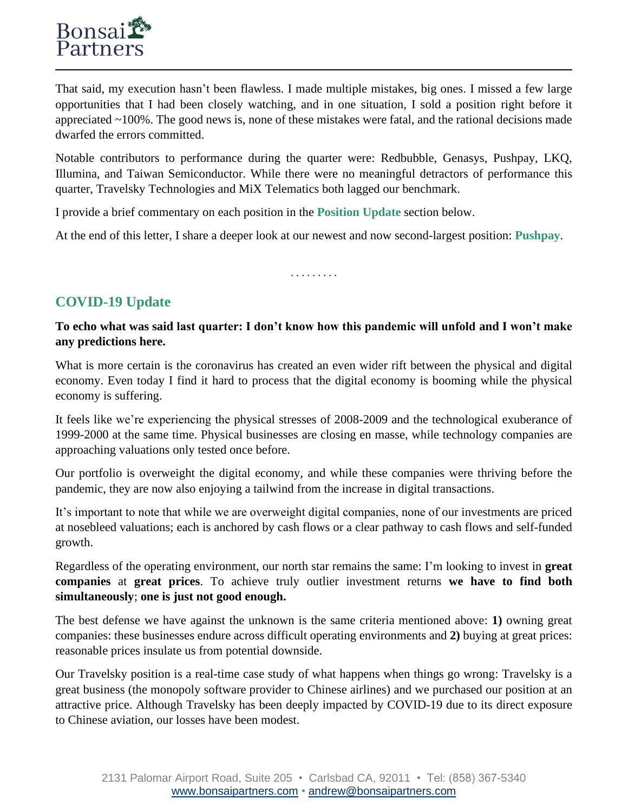That said, my execution hasn't been flawless. I made multiple mistakes, big ones. I missed a few large opportunities that I had been closely watching, and in one situation, I sold a position right before it appreciated ~100%. The good news is, none of these mistakes were fatal, and the rational decisions made dwarfed the errors committed.

Notable contributors to performance during the quarter were: Redbubble, Genasys, Pushpay, LKQ, Illumina, and Taiwan Semiconductor. While there were no meaningful detractors of performance this quarter, Travelsky Technologies and MiX Telematics both lagged our benchmark.

I provide a brief commentary on each position in the **Position Update** section below.

At the end of this letter, I share a deeper look at our newest and now second-largest position: **Pushpay**.

. . . . . . . . .

# **COVID-19 Update**

## **To echo what was said last quarter: I don't know how this pandemic will unfold and I won't make any predictions here.**

What is more certain is the coronavirus has created an even wider rift between the physical and digital economy. Even today I find it hard to process that the digital economy is booming while the physical economy is suffering.

It feels like we're experiencing the physical stresses of 2008-2009 and the technological exuberance of 1999-2000 at the same time. Physical businesses are closing en masse, while technology companies are approaching valuations only tested once before.

Our portfolio is overweight the digital economy, and while these companies were thriving before the pandemic, they are now also enjoying a tailwind from the increase in digital transactions.

It's important to note that while we are overweight digital companies, none of our investments are priced at nosebleed valuations; each is anchored by cash flows or a clear pathway to cash flows and self-funded growth.

Regardless of the operating environment, our north star remains the same: I'm looking to invest in **great companies** at **great prices**. To achieve truly outlier investment returns **we have to find both simultaneously**; **one is just not good enough.**

The best defense we have against the unknown is the same criteria mentioned above: **1)** owning great companies: these businesses endure across difficult operating environments and **2)** buying at great prices: reasonable prices insulate us from potential downside.

Our Travelsky position is a real-time case study of what happens when things go wrong: Travelsky is a great business (the monopoly software provider to Chinese airlines) and we purchased our position at an attractive price. Although Travelsky has been deeply impacted by COVID-19 due to its direct exposure to Chinese aviation, our losses have been modest.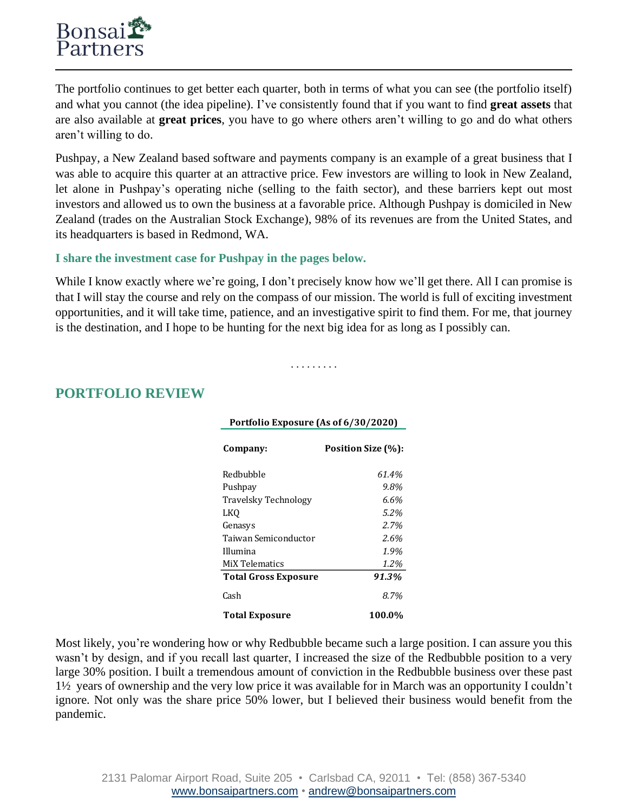The portfolio continues to get better each quarter, both in terms of what you can see (the portfolio itself) and what you cannot (the idea pipeline). I've consistently found that if you want to find **great assets** that are also available at **great prices**, you have to go where others aren't willing to go and do what others aren't willing to do.

Pushpay, a New Zealand based software and payments company is an example of a great business that I was able to acquire this quarter at an attractive price. Few investors are willing to look in New Zealand, let alone in Pushpay's operating niche (selling to the faith sector), and these barriers kept out most investors and allowed us to own the business at a favorable price. Although Pushpay is domiciled in New Zealand (trades on the Australian Stock Exchange), 98% of its revenues are from the United States, and its headquarters is based in Redmond, WA.

#### **I share the investment case for Pushpay in the pages below.**

While I know exactly where we're going, I don't precisely know how we'll get there. All I can promise is that I will stay the course and rely on the compass of our mission. The world is full of exciting investment opportunities, and it will take time, patience, and an investigative spirit to find them. For me, that journey is the destination, and I hope to be hunting for the next big idea for as long as I possibly can.

. . . . . . . . .

**Portfolio Exposure (As of 6/30/2020)**

# **PORTFOLIO REVIEW**

| FULUUIIU EXPOSULE (AS 01 0/ 30/ 2020) |                    |  |  |  |  |
|---------------------------------------|--------------------|--|--|--|--|
| Company:                              | Position Size (%): |  |  |  |  |
| Redbubble                             | 61.4%              |  |  |  |  |
| Pushpay                               | 9.8%               |  |  |  |  |
| Travelsky Technology                  | 6.6%               |  |  |  |  |
| <b>LKO</b>                            | 5.2%               |  |  |  |  |
| Genasys                               | 2.7%               |  |  |  |  |
| Taiwan Semiconductor                  | 2.6%               |  |  |  |  |
| Illumina                              | 1.9%               |  |  |  |  |
| MiX Telematics                        | 1.2%               |  |  |  |  |
| <b>Total Gross Exposure</b>           | 91.3%              |  |  |  |  |
| Cash                                  | 8.7%               |  |  |  |  |
| <b>Total Exposure</b>                 | 100.0%             |  |  |  |  |

Most likely, you're wondering how or why Redbubble became such a large position. I can assure you this wasn't by design, and if you recall last quarter, I increased the size of the Redbubble position to a very large 30% position. I built a tremendous amount of conviction in the Redbubble business over these past 1½ years of ownership and the very low price it was available for in March was an opportunity I couldn't ignore. Not only was the share price 50% lower, but I believed their business would benefit from the pandemic.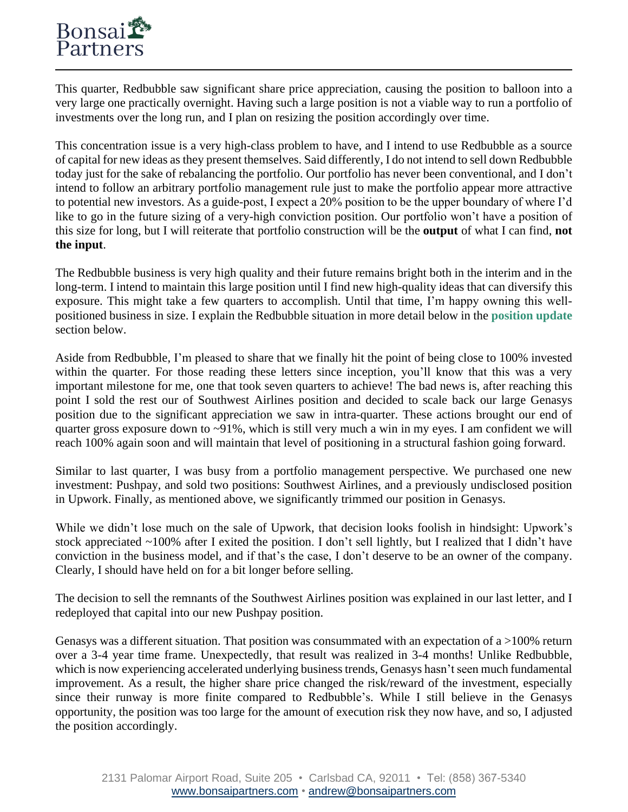This quarter, Redbubble saw significant share price appreciation, causing the position to balloon into a very large one practically overnight. Having such a large position is not a viable way to run a portfolio of investments over the long run, and I plan on resizing the position accordingly over time.

This concentration issue is a very high-class problem to have, and I intend to use Redbubble as a source of capital for new ideas as they present themselves. Said differently, I do not intend to sell down Redbubble today just for the sake of rebalancing the portfolio. Our portfolio has never been conventional, and I don't intend to follow an arbitrary portfolio management rule just to make the portfolio appear more attractive to potential new investors. As a guide-post, I expect a 20% position to be the upper boundary of where I'd like to go in the future sizing of a very-high conviction position. Our portfolio won't have a position of this size for long, but I will reiterate that portfolio construction will be the **output** of what I can find, **not the input**.

The Redbubble business is very high quality and their future remains bright both in the interim and in the long-term. I intend to maintain this large position until I find new high-quality ideas that can diversify this exposure. This might take a few quarters to accomplish. Until that time, I'm happy owning this wellpositioned business in size. I explain the Redbubble situation in more detail below in the **position update** section below.

Aside from Redbubble, I'm pleased to share that we finally hit the point of being close to 100% invested within the quarter. For those reading these letters since inception, you'll know that this was a very important milestone for me, one that took seven quarters to achieve! The bad news is, after reaching this point I sold the rest our of Southwest Airlines position and decided to scale back our large Genasys position due to the significant appreciation we saw in intra-quarter. These actions brought our end of quarter gross exposure down to ~91%, which is still very much a win in my eyes. I am confident we will reach 100% again soon and will maintain that level of positioning in a structural fashion going forward.

Similar to last quarter, I was busy from a portfolio management perspective. We purchased one new investment: Pushpay, and sold two positions: Southwest Airlines, and a previously undisclosed position in Upwork. Finally, as mentioned above, we significantly trimmed our position in Genasys.

While we didn't lose much on the sale of Upwork, that decision looks foolish in hindsight: Upwork's stock appreciated ~100% after I exited the position. I don't sell lightly, but I realized that I didn't have conviction in the business model, and if that's the case, I don't deserve to be an owner of the company. Clearly, I should have held on for a bit longer before selling.

The decision to sell the remnants of the Southwest Airlines position was explained in our last letter, and I redeployed that capital into our new Pushpay position.

Genasys was a different situation. That position was consummated with an expectation of a  $>100\%$  return over a 3-4 year time frame. Unexpectedly, that result was realized in 3-4 months! Unlike Redbubble, which is now experiencing accelerated underlying business trends, Genasys hasn't seen much fundamental improvement. As a result, the higher share price changed the risk/reward of the investment, especially since their runway is more finite compared to Redbubble's. While I still believe in the Genasys opportunity, the position was too large for the amount of execution risk they now have, and so, I adjusted the position accordingly.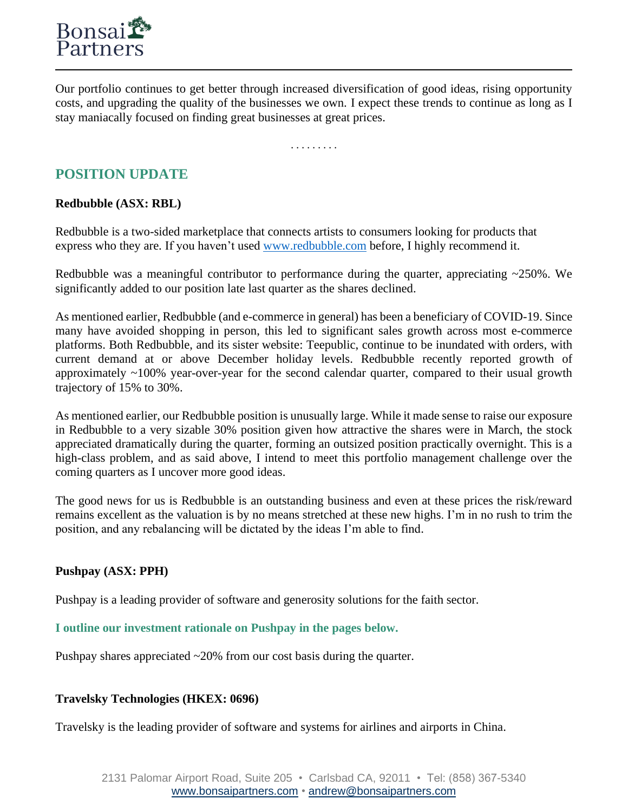

Our portfolio continues to get better through increased diversification of good ideas, rising opportunity costs, and upgrading the quality of the businesses we own. I expect these trends to continue as long as I stay maniacally focused on finding great businesses at great prices.

. . . . . . . . .

# **POSITION UPDATE**

## **Redbubble (ASX: RBL)**

Redbubble is a two-sided marketplace that connects artists to consumers looking for products that express who they are. If you haven't used [www.redbubble.com](http://www.redbubble.com/) before, I highly recommend it.

Redbubble was a meaningful contributor to performance during the quarter, appreciating ~250%. We significantly added to our position late last quarter as the shares declined.

As mentioned earlier, Redbubble (and e-commerce in general) has been a beneficiary of COVID-19. Since many have avoided shopping in person, this led to significant sales growth across most e-commerce platforms. Both Redbubble, and its sister website: Teepublic, continue to be inundated with orders, with current demand at or above December holiday levels. Redbubble recently reported growth of approximately ~100% year-over-year for the second calendar quarter, compared to their usual growth trajectory of 15% to 30%.

As mentioned earlier, our Redbubble position is unusually large. While it made sense to raise our exposure in Redbubble to a very sizable 30% position given how attractive the shares were in March, the stock appreciated dramatically during the quarter, forming an outsized position practically overnight. This is a high-class problem, and as said above, I intend to meet this portfolio management challenge over the coming quarters as I uncover more good ideas.

The good news for us is Redbubble is an outstanding business and even at these prices the risk/reward remains excellent as the valuation is by no means stretched at these new highs. I'm in no rush to trim the position, and any rebalancing will be dictated by the ideas I'm able to find.

## **Pushpay (ASX: PPH)**

Pushpay is a leading provider of software and generosity solutions for the faith sector.

**I outline our investment rationale on Pushpay in the pages below.**

Pushpay shares appreciated ~20% from our cost basis during the quarter.

## **Travelsky Technologies (HKEX: 0696)**

Travelsky is the leading provider of software and systems for airlines and airports in China.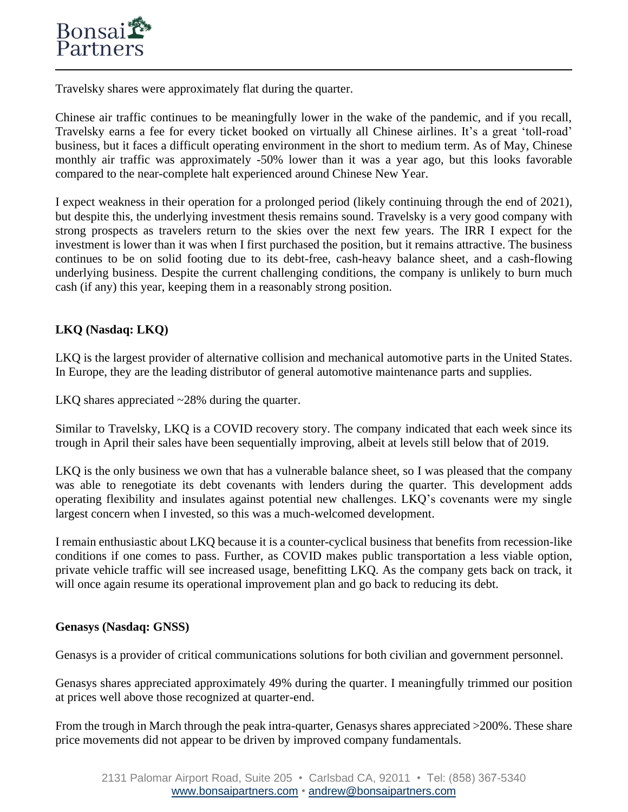Travelsky shares were approximately flat during the quarter.

Chinese air traffic continues to be meaningfully lower in the wake of the pandemic, and if you recall, Travelsky earns a fee for every ticket booked on virtually all Chinese airlines. It's a great 'toll-road' business, but it faces a difficult operating environment in the short to medium term. As of May, Chinese monthly air traffic was approximately -50% lower than it was a year ago, but this looks favorable compared to the near-complete halt experienced around Chinese New Year.

I expect weakness in their operation for a prolonged period (likely continuing through the end of 2021), but despite this, the underlying investment thesis remains sound. Travelsky is a very good company with strong prospects as travelers return to the skies over the next few years. The IRR I expect for the investment is lower than it was when I first purchased the position, but it remains attractive. The business continues to be on solid footing due to its debt-free, cash-heavy balance sheet, and a cash-flowing underlying business. Despite the current challenging conditions, the company is unlikely to burn much cash (if any) this year, keeping them in a reasonably strong position.

## **LKQ (Nasdaq: LKQ)**

LKQ is the largest provider of alternative collision and mechanical automotive parts in the United States. In Europe, they are the leading distributor of general automotive maintenance parts and supplies.

LKQ shares appreciated ~28% during the quarter.

Similar to Travelsky, LKQ is a COVID recovery story. The company indicated that each week since its trough in April their sales have been sequentially improving, albeit at levels still below that of 2019.

LKQ is the only business we own that has a vulnerable balance sheet, so I was pleased that the company was able to renegotiate its debt covenants with lenders during the quarter. This development adds operating flexibility and insulates against potential new challenges. LKQ's covenants were my single largest concern when I invested, so this was a much-welcomed development.

I remain enthusiastic about LKQ because it is a counter-cyclical business that benefits from recession-like conditions if one comes to pass. Further, as COVID makes public transportation a less viable option, private vehicle traffic will see increased usage, benefitting LKQ. As the company gets back on track, it will once again resume its operational improvement plan and go back to reducing its debt.

#### **Genasys (Nasdaq: GNSS)**

Genasys is a provider of critical communications solutions for both civilian and government personnel.

Genasys shares appreciated approximately 49% during the quarter. I meaningfully trimmed our position at prices well above those recognized at quarter-end.

From the trough in March through the peak intra-quarter, Genasys shares appreciated >200%. These share price movements did not appear to be driven by improved company fundamentals.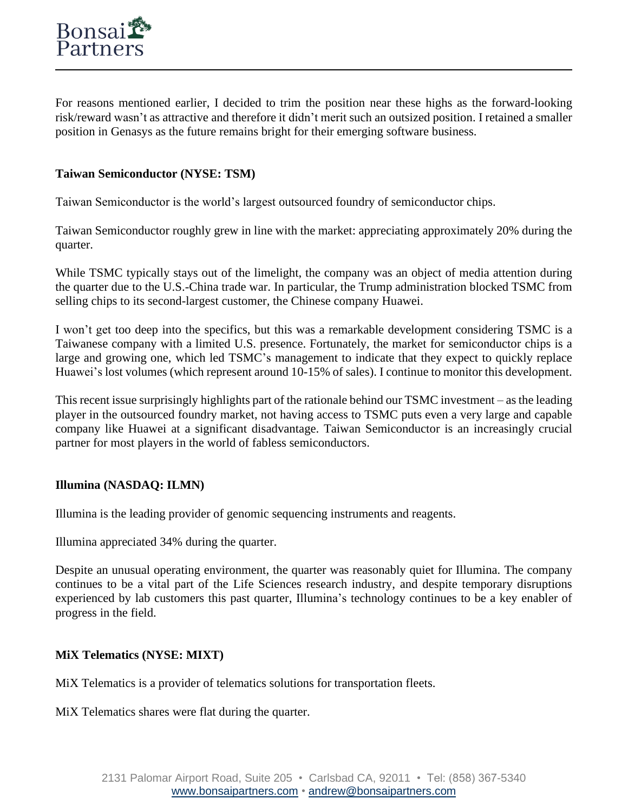For reasons mentioned earlier, I decided to trim the position near these highs as the forward-looking risk/reward wasn't as attractive and therefore it didn't merit such an outsized position. I retained a smaller position in Genasys as the future remains bright for their emerging software business.

#### **Taiwan Semiconductor (NYSE: TSM)**

Taiwan Semiconductor is the world's largest outsourced foundry of semiconductor chips.

Taiwan Semiconductor roughly grew in line with the market: appreciating approximately 20% during the quarter.

While TSMC typically stays out of the limelight, the company was an object of media attention during the quarter due to the U.S.-China trade war. In particular, the Trump administration blocked TSMC from selling chips to its second-largest customer, the Chinese company Huawei.

I won't get too deep into the specifics, but this was a remarkable development considering TSMC is a Taiwanese company with a limited U.S. presence. Fortunately, the market for semiconductor chips is a large and growing one, which led TSMC's management to indicate that they expect to quickly replace Huawei's lost volumes (which represent around 10-15% of sales). I continue to monitor this development.

This recent issue surprisingly highlights part of the rationale behind our TSMC investment – as the leading player in the outsourced foundry market, not having access to TSMC puts even a very large and capable company like Huawei at a significant disadvantage. Taiwan Semiconductor is an increasingly crucial partner for most players in the world of fabless semiconductors.

## **Illumina (NASDAQ: ILMN)**

Illumina is the leading provider of genomic sequencing instruments and reagents.

Illumina appreciated 34% during the quarter.

Despite an unusual operating environment, the quarter was reasonably quiet for Illumina. The company continues to be a vital part of the Life Sciences research industry, and despite temporary disruptions experienced by lab customers this past quarter, Illumina's technology continues to be a key enabler of progress in the field.

#### **MiX Telematics (NYSE: MIXT)**

MiX Telematics is a provider of telematics solutions for transportation fleets.

MiX Telematics shares were flat during the quarter.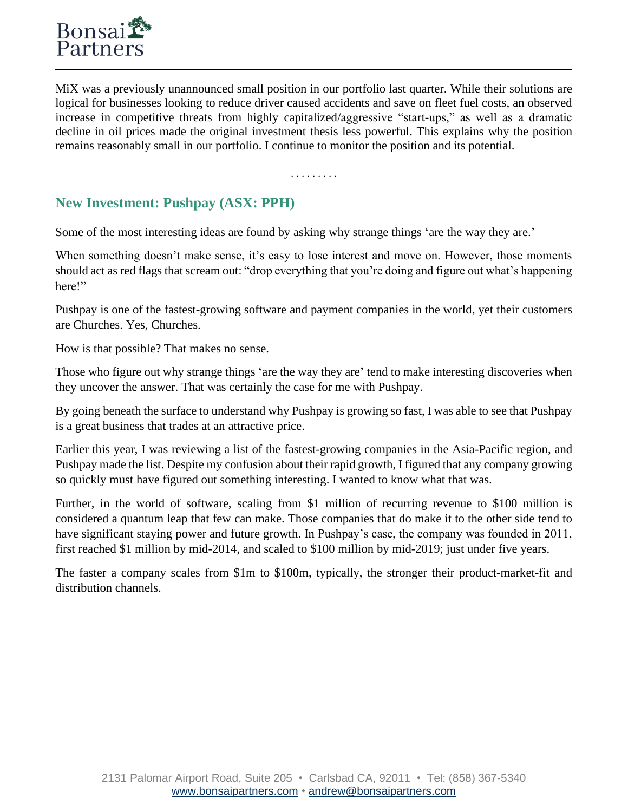MiX was a previously unannounced small position in our portfolio last quarter. While their solutions are logical for businesses looking to reduce driver caused accidents and save on fleet fuel costs, an observed increase in competitive threats from highly capitalized/aggressive "start-ups," as well as a dramatic decline in oil prices made the original investment thesis less powerful. This explains why the position remains reasonably small in our portfolio. I continue to monitor the position and its potential.

. . . . . . . . .

# **New Investment: Pushpay (ASX: PPH)**

Some of the most interesting ideas are found by asking why strange things 'are the way they are.'

When something doesn't make sense, it's easy to lose interest and move on. However, those moments should act as red flags that scream out: "drop everything that you're doing and figure out what's happening here!"

Pushpay is one of the fastest-growing software and payment companies in the world, yet their customers are Churches. Yes, Churches.

How is that possible? That makes no sense.

Those who figure out why strange things 'are the way they are' tend to make interesting discoveries when they uncover the answer. That was certainly the case for me with Pushpay.

By going beneath the surface to understand why Pushpay is growing so fast, I was able to see that Pushpay is a great business that trades at an attractive price.

Earlier this year, I was reviewing a list of the fastest-growing companies in the Asia-Pacific region, and Pushpay made the list. Despite my confusion about their rapid growth, I figured that any company growing so quickly must have figured out something interesting. I wanted to know what that was.

Further, in the world of software, scaling from \$1 million of recurring revenue to \$100 million is considered a quantum leap that few can make. Those companies that do make it to the other side tend to have significant staying power and future growth. In Pushpay's case, the company was founded in 2011, first reached \$1 million by mid-2014, and scaled to \$100 million by mid-2019; just under five years.

The faster a company scales from \$1m to \$100m, typically, the stronger their product-market-fit and distribution channels.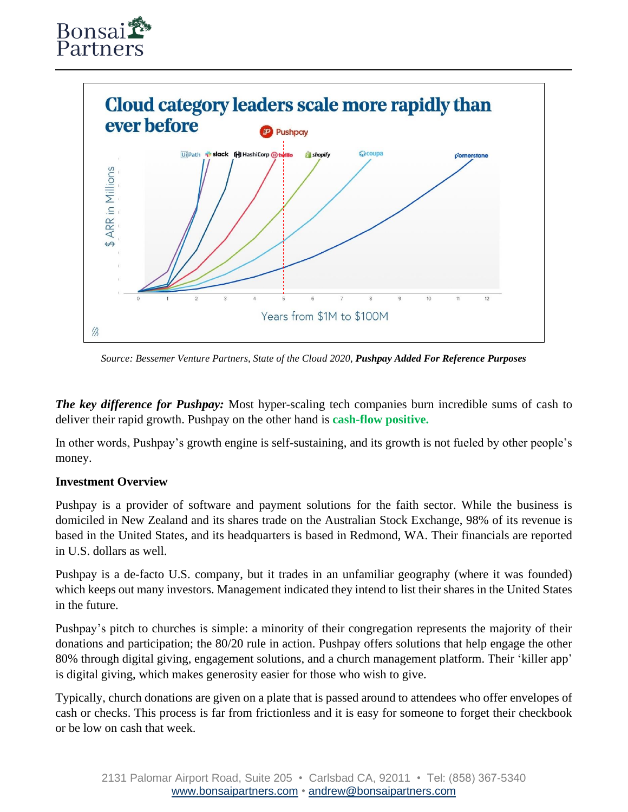



*Source: Bessemer Venture Partners, State of the Cloud 2020, Pushpay Added For Reference Purposes*

*The key difference for Pushpay:* Most hyper-scaling tech companies burn incredible sums of cash to deliver their rapid growth. Pushpay on the other hand is **cash-flow positive.**

In other words, Pushpay's growth engine is self-sustaining, and its growth is not fueled by other people's money.

#### **Investment Overview**

Pushpay is a provider of software and payment solutions for the faith sector. While the business is domiciled in New Zealand and its shares trade on the Australian Stock Exchange, 98% of its revenue is based in the United States, and its headquarters is based in Redmond, WA. Their financials are reported in U.S. dollars as well.

Pushpay is a de-facto U.S. company, but it trades in an unfamiliar geography (where it was founded) which keeps out many investors. Management indicated they intend to list their shares in the United States in the future.

Pushpay's pitch to churches is simple: a minority of their congregation represents the majority of their donations and participation; the 80/20 rule in action. Pushpay offers solutions that help engage the other 80% through digital giving, engagement solutions, and a church management platform. Their 'killer app' is digital giving, which makes generosity easier for those who wish to give.

Typically, church donations are given on a plate that is passed around to attendees who offer envelopes of cash or checks. This process is far from frictionless and it is easy for someone to forget their checkbook or be low on cash that week.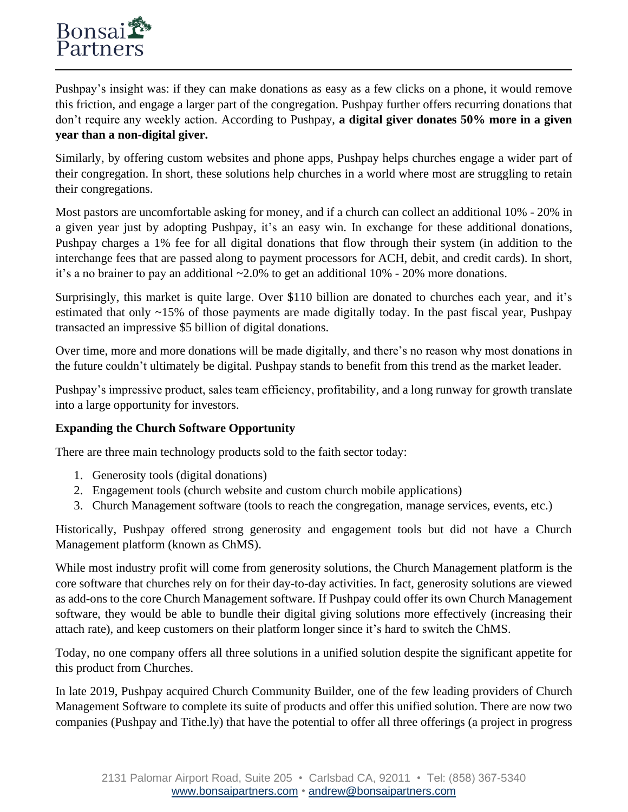Pushpay's insight was: if they can make donations as easy as a few clicks on a phone, it would remove this friction, and engage a larger part of the congregation. Pushpay further offers recurring donations that don't require any weekly action. According to Pushpay, **a digital giver donates 50% more in a given year than a non-digital giver.**

Similarly, by offering custom websites and phone apps, Pushpay helps churches engage a wider part of their congregation. In short, these solutions help churches in a world where most are struggling to retain their congregations.

Most pastors are uncomfortable asking for money, and if a church can collect an additional 10% - 20% in a given year just by adopting Pushpay, it's an easy win. In exchange for these additional donations, Pushpay charges a 1% fee for all digital donations that flow through their system (in addition to the interchange fees that are passed along to payment processors for ACH, debit, and credit cards). In short, it's a no brainer to pay an additional ~2.0% to get an additional 10% - 20% more donations.

Surprisingly, this market is quite large. Over \$110 billion are donated to churches each year, and it's estimated that only ~15% of those payments are made digitally today. In the past fiscal year, Pushpay transacted an impressive \$5 billion of digital donations.

Over time, more and more donations will be made digitally, and there's no reason why most donations in the future couldn't ultimately be digital. Pushpay stands to benefit from this trend as the market leader.

Pushpay's impressive product, sales team efficiency, profitability, and a long runway for growth translate into a large opportunity for investors.

## **Expanding the Church Software Opportunity**

There are three main technology products sold to the faith sector today:

- 1. Generosity tools (digital donations)
- 2. Engagement tools (church website and custom church mobile applications)
- 3. Church Management software (tools to reach the congregation, manage services, events, etc.)

Historically, Pushpay offered strong generosity and engagement tools but did not have a Church Management platform (known as ChMS).

While most industry profit will come from generosity solutions, the Church Management platform is the core software that churches rely on for their day-to-day activities. In fact, generosity solutions are viewed as add-ons to the core Church Management software. If Pushpay could offer its own Church Management software, they would be able to bundle their digital giving solutions more effectively (increasing their attach rate), and keep customers on their platform longer since it's hard to switch the ChMS.

Today, no one company offers all three solutions in a unified solution despite the significant appetite for this product from Churches.

In late 2019, Pushpay acquired Church Community Builder, one of the few leading providers of Church Management Software to complete its suite of products and offer this unified solution. There are now two companies (Pushpay and Tithe.ly) that have the potential to offer all three offerings (a project in progress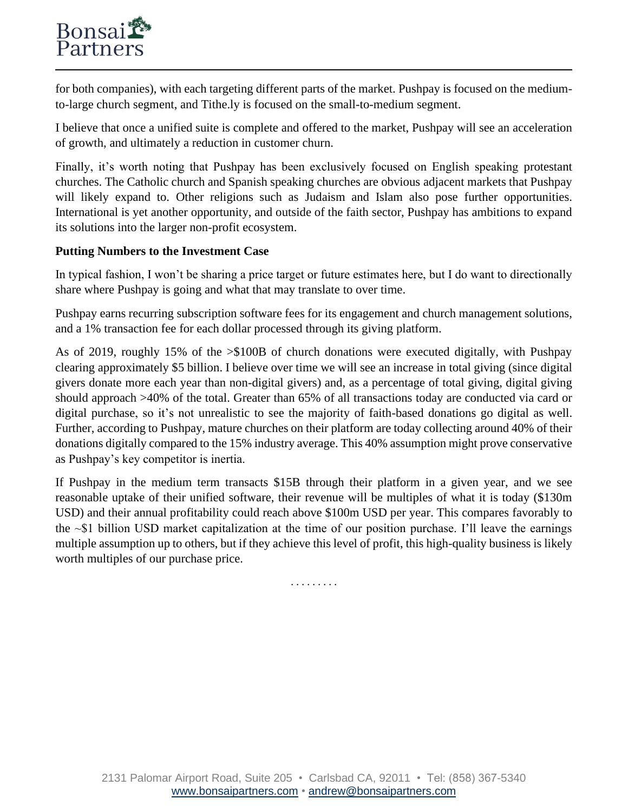for both companies), with each targeting different parts of the market. Pushpay is focused on the mediumto-large church segment, and Tithe.ly is focused on the small-to-medium segment.

I believe that once a unified suite is complete and offered to the market, Pushpay will see an acceleration of growth, and ultimately a reduction in customer churn.

Finally, it's worth noting that Pushpay has been exclusively focused on English speaking protestant churches. The Catholic church and Spanish speaking churches are obvious adjacent markets that Pushpay will likely expand to. Other religions such as Judaism and Islam also pose further opportunities. International is yet another opportunity, and outside of the faith sector, Pushpay has ambitions to expand its solutions into the larger non-profit ecosystem.

## **Putting Numbers to the Investment Case**

In typical fashion, I won't be sharing a price target or future estimates here, but I do want to directionally share where Pushpay is going and what that may translate to over time.

Pushpay earns recurring subscription software fees for its engagement and church management solutions, and a 1% transaction fee for each dollar processed through its giving platform.

As of 2019, roughly 15% of the >\$100B of church donations were executed digitally, with Pushpay clearing approximately \$5 billion. I believe over time we will see an increase in total giving (since digital givers donate more each year than non-digital givers) and, as a percentage of total giving, digital giving should approach >40% of the total. Greater than 65% of all transactions today are conducted via card or digital purchase, so it's not unrealistic to see the majority of faith-based donations go digital as well. Further, according to Pushpay, mature churches on their platform are today collecting around 40% of their donations digitally compared to the 15% industry average. This 40% assumption might prove conservative as Pushpay's key competitor is inertia.

If Pushpay in the medium term transacts \$15B through their platform in a given year, and we see reasonable uptake of their unified software, their revenue will be multiples of what it is today (\$130m USD) and their annual profitability could reach above \$100m USD per year. This compares favorably to the ~\$1 billion USD market capitalization at the time of our position purchase. I'll leave the earnings multiple assumption up to others, but if they achieve this level of profit, this high-quality business is likely worth multiples of our purchase price.

. . . . . . . . .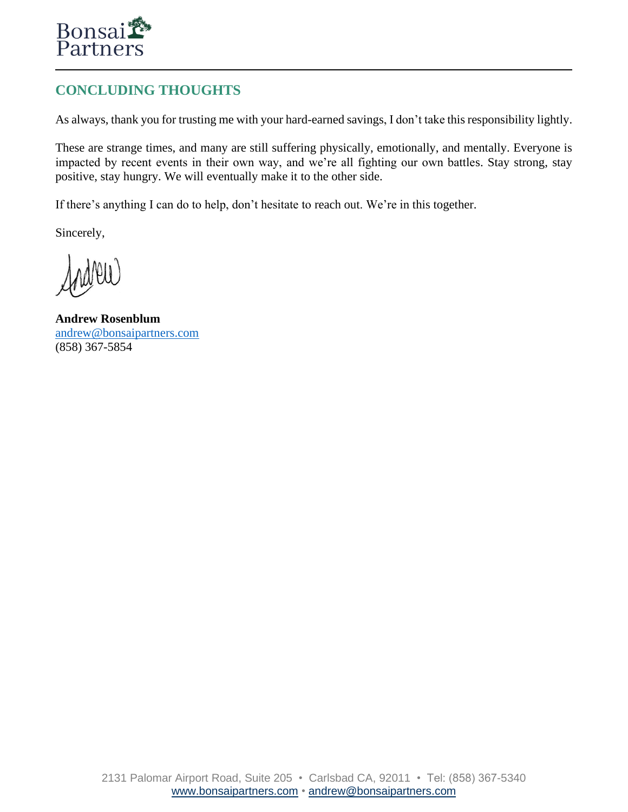

# **CONCLUDING THOUGHTS**

As always, thank you for trusting me with your hard-earned savings, I don't take this responsibility lightly.

These are strange times, and many are still suffering physically, emotionally, and mentally. Everyone is impacted by recent events in their own way, and we're all fighting our own battles. Stay strong, stay positive, stay hungry. We will eventually make it to the other side.

If there's anything I can do to help, don't hesitate to reach out. We're in this together.

Sincerely,

**Andrew Rosenblum** [andrew@bonsaipartners.com](mailto:andrew@bonsaipartners.com) (858) 367-5854